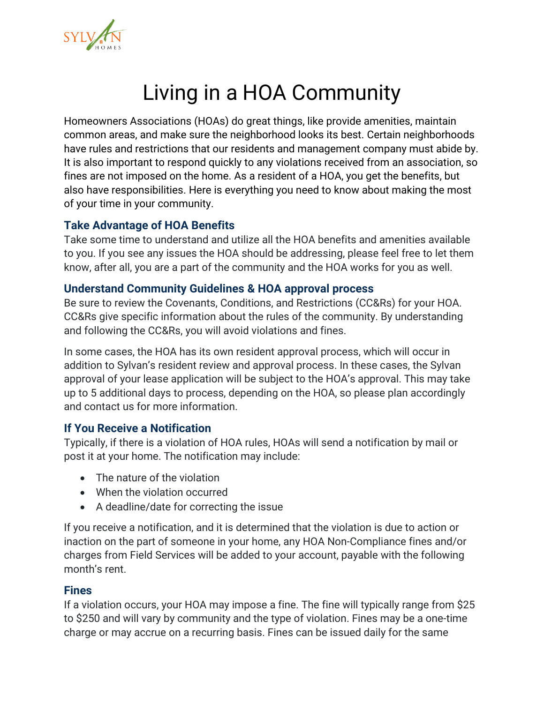

## Living in a HOA Community

Homeowners Associations (HOAs) do great things, like provide amenities, maintain common areas, and make sure the neighborhood looks its best. Certain neighborhoods have rules and restrictions that our residents and management company must abide by. It is also important to respond quickly to any violations received from an association, so fines are not imposed on the home. As a resident of a HOA, you get the benefits, but also have responsibilities. Here is everything you need to know about making the most of your time in your community.

#### **Take Advantage of HOA Benefits**

Take some time to understand and utilize all the HOA benefits and amenities available to you. If you see any issues the HOA should be addressing, please feel free to let them know, after all, you are a part of the community and the HOA works for you as well.

#### **Understand Community Guidelines & HOA approval process**

Be sure to review the Covenants, Conditions, and Restrictions (CC&Rs) for your HOA. CC&Rs give specific information about the rules of the community. By understanding and following the CC&Rs, you will avoid violations and fines.

In some cases, the HOA has its own resident approval process, which will occur in addition to Sylvan's resident review and approval process. In these cases, the Sylvan approval of your lease application will be subject to the HOA's approval. This may take up to 5 additional days to process, depending on the HOA, so please plan accordingly and contact us for more information.

#### **If You Receive a Notification**

Typically, if there is a violation of HOA rules, HOAs will send a notification by mail or post it at your home. The notification may include:

- The nature of the violation
- When the violation occurred
- A deadline/date for correcting the issue

If you receive a notification, and it is determined that the violation is due to action or inaction on the part of someone in your home, any HOA Non-Compliance fines and/or charges from Field Services will be added to your account, payable with the following month's rent.

#### **Fines**

If a violation occurs, your HOA may impose a fine. The fine will typically range from \$25 to \$250 and will vary by community and the type of violation. Fines may be a one-time charge or may accrue on a recurring basis. Fines can be issued daily for the same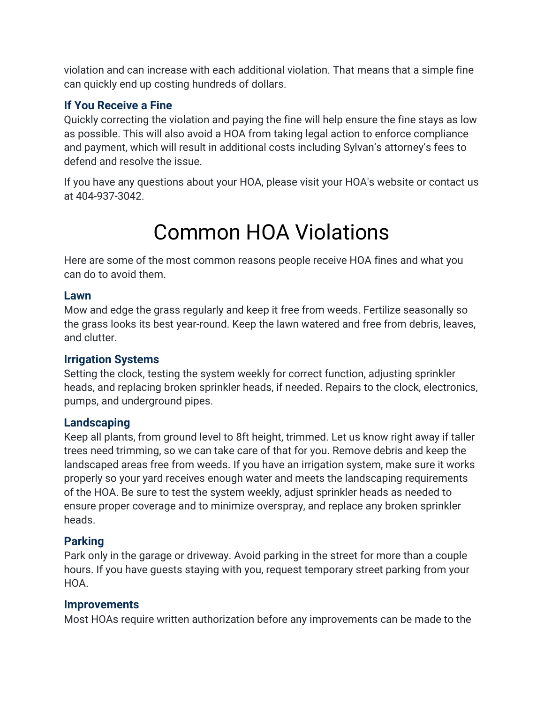violation and can increase with each additional violation. That means that a simple fine can quickly end up costing hundreds of dollars.

## **If You Receive a Fine**

Quickly correcting the violation and paying the fine will help ensure the fine stays as low as possible. This will also avoid a HOA from taking legal action to enforce compliance and payment, which will result in additional costs including Sylvan's attorney's fees to defend and resolve the issue.

If you have any questions about your HOA, please visit your HOA's website or contact us at 404-937-3042.

# Common HOA Violations

Here are some of the most common reasons people receive HOA fines and what you can do to avoid them.

#### **Lawn**

Mow and edge the grass regularly and keep it free from weeds. Fertilize seasonally so the grass looks its best year-round. Keep the lawn watered and free from debris, leaves, and clutter.

#### **Irrigation Systems**

Setting the clock, testing the system weekly for correct function, adjusting sprinkler heads, and replacing broken sprinkler heads, if needed. Repairs to the clock, electronics, pumps, and underground pipes.

#### **Landscaping**

Keep all plants, from ground level to 8ft height, trimmed. Let us know right away if taller trees need trimming, so we can take care of that for you. Remove debris and keep the landscaped areas free from weeds. If you have an irrigation system, make sure it works properly so your yard receives enough water and meets the landscaping requirements of the HOA. Be sure to test the system weekly, adjust sprinkler heads as needed to ensure proper coverage and to minimize overspray, and replace any broken sprinkler heads.

## **Parking**

Park only in the garage or driveway. Avoid parking in the street for more than a couple hours. If you have guests staying with you, request temporary street parking from your HOA.

#### **Improvements**

Most HOAs require written authorization before any improvements can be made to the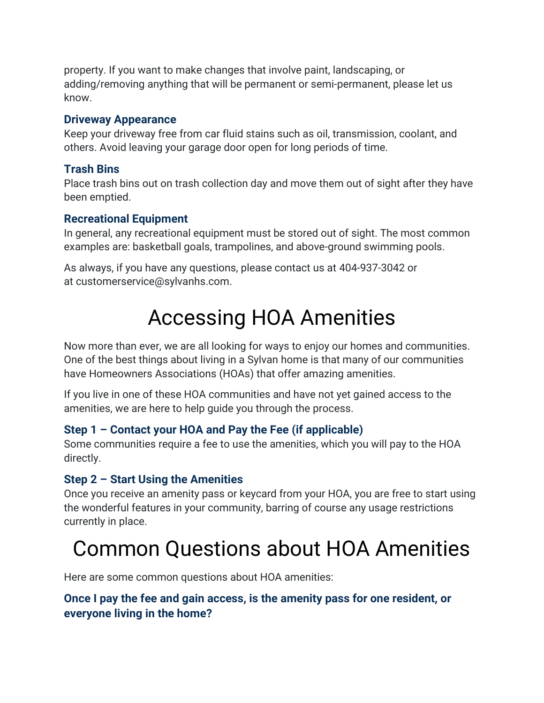property. If you want to make changes that involve paint, landscaping, or adding/removing anything that will be permanent or semi-permanent, please let us know.

#### **Driveway Appearance**

Keep your driveway free from car fluid stains such as oil, transmission, coolant, and others. Avoid leaving your garage door open for long periods of time.

## **Trash Bins**

Place trash bins out on trash collection day and move them out of sight after they have been emptied.

### **Recreational Equipment**

In general, any recreational equipment must be stored out of sight. The most common examples are: basketball goals, trampolines, and above-ground swimming pools.

As always, if you have any questions, please contact us at 404-937-3042 or at customerservice@sylvanhs.com.

## Accessing HOA Amenities

Now more than ever, we are all looking for ways to enjoy our homes and communities. One of the best things about living in a Sylvan home is that many of our communities have Homeowners Associations (HOAs) that offer amazing amenities.

If you live in one of these HOA communities and have not yet gained access to the amenities, we are here to help guide you through the process.

## **Step 1 – Contact your HOA and Pay the Fee (if applicable)**

Some communities require a fee to use the amenities, which you will pay to the HOA directly.

## **Step 2 – Start Using the Amenities**

Once you receive an amenity pass or keycard from your HOA, you are free to start using the wonderful features in your community, barring of course any usage restrictions currently in place.

## Common Questions about HOA Amenities

Here are some common questions about HOA amenities:

## **Once I pay the fee and gain access, is the amenity pass for one resident, or everyone living in the home?**